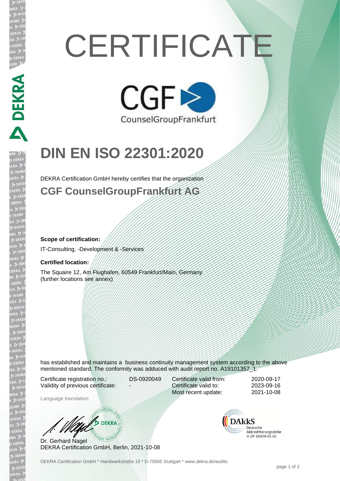# **CERTIFICATE**



## **DIN EN ISO 22301:2020**

DEKRA Certification GmbH hereby certifies that the organization

**CGF CounselGroupFrankfurt AG**

#### **Scope of certification:**

IT-Consulting, -Development & -Services

#### **Certified location:**

A PERRA EN A PERRA

The Squaire 12, Am Flughafen, 60549 Frankfurt/Main, Germany (further locations see annex)

has established and maintains a business continuity management system according to the above mentioned standard. The conformity was adduced with audit report no. A19101357\_1.

Certificate registration no.: DS-0920049 Validity of previous certificate:

Certificate valid from: 2020-09-17 Certificate valid to: 2023-09-16

Most recent update: 2021-10-08

Language translation

**BURN DEKRA** 

Dr. Gerhard Nagel DEKRA Certification GmbH, Berlin, 2021-10-08

**DAkkS** Deutsche Akkreditierungsstelle D-ZP-16029-01-01